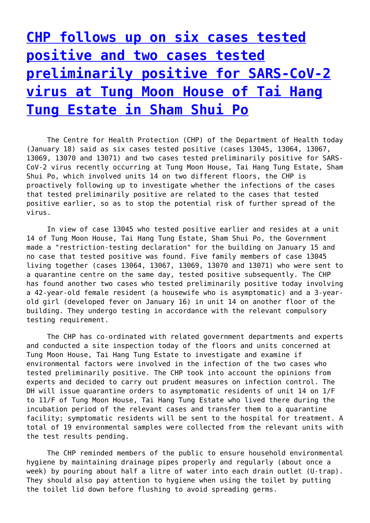## **[CHP follows up on six cases tested](http://www.government-world.com/chp-follows-up-on-six-cases-tested-positive-and-two-cases-tested-preliminarily-positive-for-sars-cov-2-virus-at-tung-moon-house-of-tai-hang-tung-estate-in-sham-shui-po/) [positive and two cases tested](http://www.government-world.com/chp-follows-up-on-six-cases-tested-positive-and-two-cases-tested-preliminarily-positive-for-sars-cov-2-virus-at-tung-moon-house-of-tai-hang-tung-estate-in-sham-shui-po/) [preliminarily positive for SARS-CoV-2](http://www.government-world.com/chp-follows-up-on-six-cases-tested-positive-and-two-cases-tested-preliminarily-positive-for-sars-cov-2-virus-at-tung-moon-house-of-tai-hang-tung-estate-in-sham-shui-po/) [virus at Tung Moon House of Tai Hang](http://www.government-world.com/chp-follows-up-on-six-cases-tested-positive-and-two-cases-tested-preliminarily-positive-for-sars-cov-2-virus-at-tung-moon-house-of-tai-hang-tung-estate-in-sham-shui-po/) [Tung Estate in Sham Shui Po](http://www.government-world.com/chp-follows-up-on-six-cases-tested-positive-and-two-cases-tested-preliminarily-positive-for-sars-cov-2-virus-at-tung-moon-house-of-tai-hang-tung-estate-in-sham-shui-po/)**

 The Centre for Health Protection (CHP) of the Department of Health today (January 18) said as six cases tested positive (cases 13045, 13064, 13067, 13069, 13070 and 13071) and two cases tested preliminarily positive for SARS-CoV-2 virus recently occurring at Tung Moon House, Tai Hang Tung Estate, Sham Shui Po, which involved units 14 on two different floors, the CHP is proactively following up to investigate whether the infections of the cases that tested preliminarily positive are related to the cases that tested positive earlier, so as to stop the potential risk of further spread of the virus.

 In view of case 13045 who tested positive earlier and resides at a unit 14 of Tung Moon House, Tai Hang Tung Estate, Sham Shui Po, the Government made a "restriction-testing declaration" for the building on January 15 and no case that tested positive was found. Five family members of case 13045 living together (cases 13064, 13067, 13069, 13070 and 13071) who were sent to a quarantine centre on the same day, tested positive subsequently. The CHP has found another two cases who tested preliminarily positive today involving a 42-year-old female resident (a housewife who is asymptomatic) and a 3-yearold girl (developed fever on January 16) in unit 14 on another floor of the building. They undergo testing in accordance with the relevant compulsory testing requirement.

 The CHP has co-ordinated with related government departments and experts and conducted a site inspection today of the floors and units concerned at Tung Moon House, Tai Hang Tung Estate to investigate and examine if environmental factors were involved in the infection of the two cases who tested preliminarily positive. The CHP took into account the opinions from experts and decided to carry out prudent measures on infection control. The DH will issue quarantine orders to asymptomatic residents of unit 14 on 1/F to 11/F of Tung Moon House, Tai Hang Tung Estate who lived there during the incubation period of the relevant cases and transfer them to a quarantine facility; symptomatic residents will be sent to the hospital for treatment. A total of 19 environmental samples were collected from the relevant units with the test results pending.

 The CHP reminded members of the public to ensure household environmental hygiene by maintaining drainage pipes properly and regularly (about once a week) by pouring about half a litre of water into each drain outlet (U-trap). They should also pay attention to hygiene when using the toilet by putting the toilet lid down before flushing to avoid spreading germs.